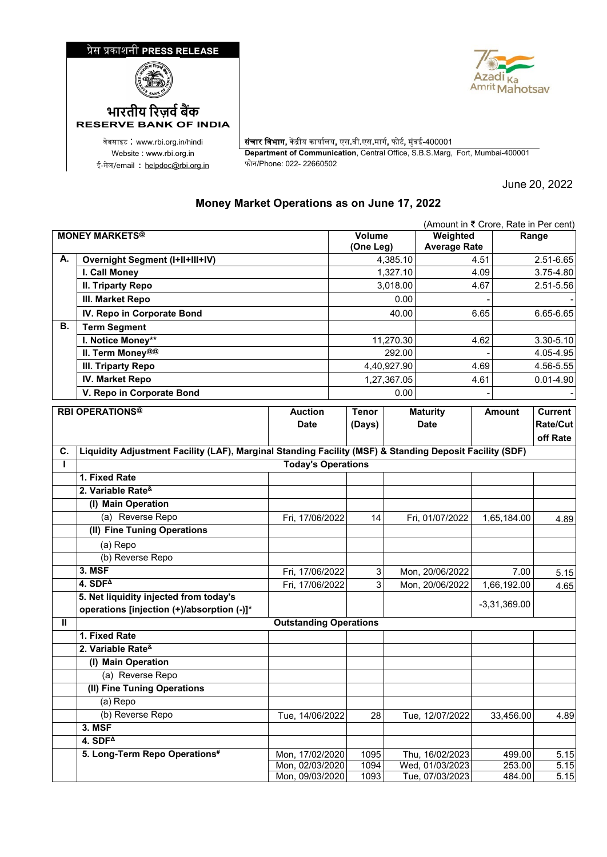## �ेस �काशनी **PRESS RELEASE**





ई-मेल/email : <u>[helpdoc@rbi.org.in](mailto:helpdoc@rbi.org.in)</u>

**RESERVE BANK OF INDIA**

वेबसाइट : www.rbi.org.in/hindi | संचार विभाग, केंद्रीय कार्यालय, एस.बी.एस.मार्ग, फोर्ट, मुंबई-400001 Website : www.rbi.org.in **Department of Communication**, Central Office, S.B.S.Marg, Fort, Mumbai-400001

June 20, 2022

## **Money Market Operations as on June 17, 2022**

|                       | (Amount in ₹ Crore, Rate in Per cent)                                                                   |                                    |              |                                 |           |                                    |      |                  |               |
|-----------------------|---------------------------------------------------------------------------------------------------------|------------------------------------|--------------|---------------------------------|-----------|------------------------------------|------|------------------|---------------|
| <b>MONEY MARKETS@</b> |                                                                                                         | Volume<br>(One Leg)                |              | Weighted<br><b>Average Rate</b> |           | Range                              |      |                  |               |
| А.                    | <b>Overnight Segment (I+II+III+IV)</b>                                                                  |                                    |              |                                 | 4,385.10  |                                    | 4.51 |                  | 2.51-6.65     |
|                       | I. Call Money                                                                                           |                                    |              |                                 | 1,327.10  | 4.09                               |      |                  | 3.75-4.80     |
|                       | <b>II. Triparty Repo</b>                                                                                |                                    |              | 3,018.00                        |           | 4.67                               |      |                  | 2.51-5.56     |
|                       | III. Market Repo                                                                                        |                                    | 0.00         |                                 |           |                                    |      |                  |               |
|                       | IV. Repo in Corporate Bond                                                                              |                                    |              |                                 | 40.00     |                                    | 6.65 |                  | 6.65-6.65     |
| В.                    | <b>Term Segment</b>                                                                                     |                                    |              |                                 |           |                                    |      |                  |               |
|                       | I. Notice Money**                                                                                       |                                    |              |                                 | 11,270.30 |                                    | 4.62 |                  | 3.30-5.10     |
|                       | II. Term Money@@                                                                                        |                                    |              | 292.00                          |           |                                    |      |                  | 4.05-4.95     |
|                       | III. Triparty Repo                                                                                      |                                    |              | 4,40,927.90                     |           | 4.69                               |      |                  | 4.56-5.55     |
|                       | <b>IV. Market Repo</b>                                                                                  |                                    |              | 1,27,367.05                     |           | 4.61                               |      |                  | $0.01 - 4.90$ |
|                       | V. Repo in Corporate Bond                                                                               |                                    |              |                                 | 0.00      |                                    |      |                  |               |
|                       | <b>RBI OPERATIONS®</b>                                                                                  | <b>Auction</b>                     | <b>Tenor</b> |                                 |           | <b>Maturity</b>                    |      | <b>Amount</b>    | Current       |
|                       |                                                                                                         | <b>Date</b>                        |              | (Days)                          |           | <b>Date</b>                        |      |                  | Rate/Cut      |
|                       |                                                                                                         |                                    |              |                                 |           |                                    |      |                  | off Rate      |
| C.                    | Liquidity Adjustment Facility (LAF), Marginal Standing Facility (MSF) & Standing Deposit Facility (SDF) |                                    |              |                                 |           |                                    |      |                  |               |
| L                     |                                                                                                         | <b>Today's Operations</b>          |              |                                 |           |                                    |      |                  |               |
|                       | 1. Fixed Rate                                                                                           |                                    |              |                                 |           |                                    |      |                  |               |
|                       | 2. Variable Rate <sup>&amp;</sup>                                                                       |                                    |              |                                 |           |                                    |      |                  |               |
|                       | (I) Main Operation                                                                                      |                                    |              |                                 |           |                                    |      |                  |               |
|                       | (a) Reverse Repo                                                                                        | Fri, 17/06/2022                    |              | 14                              |           | Fri, 01/07/2022                    |      | 1,65,184.00      | 4.89          |
|                       | (II) Fine Tuning Operations                                                                             |                                    |              |                                 |           |                                    |      |                  |               |
|                       | (a) Repo                                                                                                |                                    |              |                                 |           |                                    |      |                  |               |
|                       | (b) Reverse Repo                                                                                        |                                    |              |                                 |           |                                    |      |                  |               |
|                       | 3. MSF                                                                                                  | Fri, 17/06/2022                    |              | 3                               |           | Mon, 20/06/2022                    |      | 7.00             | 5.15          |
|                       | 4. $SDF4$                                                                                               | Fri, 17/06/2022                    |              | 3                               |           | Mon, 20/06/2022<br>1,66,192.00     |      |                  | 4.65          |
|                       | 5. Net liquidity injected from today's                                                                  |                                    |              |                                 |           |                                    |      | $-3,31,369.00$   |               |
|                       | operations [injection (+)/absorption (-)]*                                                              |                                    |              |                                 |           |                                    |      |                  |               |
| Ш                     |                                                                                                         | <b>Outstanding Operations</b>      |              |                                 |           |                                    |      |                  |               |
|                       | 1. Fixed Rate                                                                                           |                                    |              |                                 |           |                                    |      |                  |               |
|                       | 2. Variable Rate <sup>&amp;</sup>                                                                       |                                    |              |                                 |           |                                    |      |                  |               |
|                       | (I) Main Operation                                                                                      |                                    |              |                                 |           |                                    |      |                  |               |
|                       | (a) Reverse Repo                                                                                        |                                    |              |                                 |           |                                    |      |                  |               |
|                       | (II) Fine Tuning Operations                                                                             |                                    |              |                                 |           |                                    |      |                  |               |
|                       | (a) Repo                                                                                                |                                    |              |                                 |           |                                    |      |                  |               |
|                       | (b) Reverse Repo                                                                                        | Tue, 14/06/2022                    |              | 28                              |           | Tue, 12/07/2022                    |      | 33,456.00        | 4.89          |
|                       | 3. MSF                                                                                                  |                                    |              |                                 |           |                                    |      |                  |               |
|                       | $4.$ SDF <sup><math>\triangle</math></sup>                                                              |                                    |              |                                 |           |                                    |      |                  |               |
|                       | 5. Long-Term Repo Operations#                                                                           | Mon, 17/02/2020                    |              | 1095                            |           | Thu, 16/02/2023                    |      | 499.00           | 5.15          |
|                       |                                                                                                         | Mon, 02/03/2020<br>Mon, 09/03/2020 |              | 1094<br>1093                    |           | Wed, 01/03/2023<br>Tue, 07/03/2023 |      | 253.00<br>484.00 | 5.15<br>5.15  |
|                       |                                                                                                         |                                    |              |                                 |           |                                    |      |                  |               |